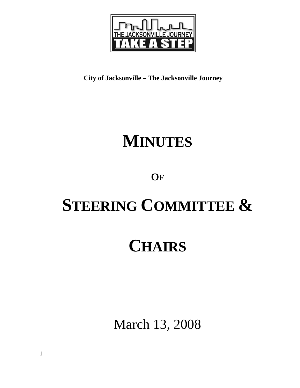

**City of Jacksonville – The Jacksonville Journey** 

## **MINUTES**

### **OF**

# **STEERING COMMITTEE &**

### **CHAIRS**

March 13, 2008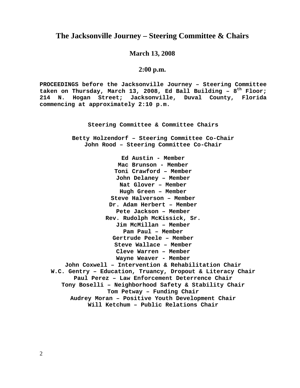#### **The Jacksonville Journey – Steering Committee & Chairs**

#### **March 13, 2008**

#### **2:00 p.m.**

**PROCEEDINGS before the Jacksonville Journey – Steering Committee taken on Thursday, March 13, 2008, Ed Ball Building – 8th Floor; 214 N. Hogan Street; Jacksonville, Duval County, Florida commencing at approximately 2:10 p.m.** 

**Steering Committee & Committee Chairs**

**Betty Holzendorf – Steering Committee Co-Chair John Rood – Steering Committee Co-Chair** 

**Ed Austin - Member Mac Brunson - Member Toni Crawford – Member John Delaney – Member Nat Glover – Member Hugh Green – Member Steve Halverson – Member Dr. Adam Herbert – Member Pete Jackson – Member Rev. Rudolph McKissick, Sr. Jim McMillan – Member Pam Paul – Member Gertrude Peele – Member Steve Wallace – Member Cleve Warren – Member Wayne Weaver - Member John Coxwell – Intervention & Rehabilitation Chair W.C. Gentry – Education, Truancy, Dropout & Literacy Chair Paul Perez – Law Enforcement Deterrence Chair Tony Boselli – Neighborhood Safety & Stability Chair Tom Petway – Funding Chair Audrey Moran – Positive Youth Development Chair Will Ketchum – Public Relations Chair**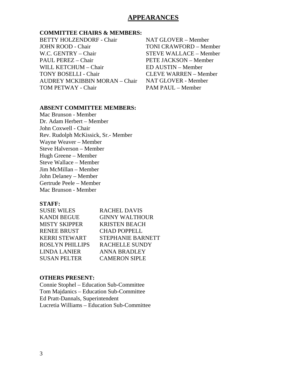#### **APPEARANCES**

#### **COMMITTEE CHAIRS & MEMBERS:**

BETTY HOLZENDORF - Chair JOHN ROOD - Chair W.C. GENTRY – Chair PAUL PEREZ – Chair WILL KETCHUM – Chair TONY BOSELLI - Chair AUDREY MCKIBBIN MORAN – Chair TOM PETWAY - Chair

#### NAT GLOVER – Member TONI CRAWFORD – Member STEVE WALLACE – Member PETE JACKSON – Member ED AUSTIN – Member CLEVE WARREN – Member NAT GLOVER - Member PAM PAUL – Member

#### **ABSENT COMMITTEE MEMBERS:**

Mac Brunson - Member Dr. Adam Herbert – Member John Coxwell - Chair Rev. Rudolph McKissick, Sr.- Member Wayne Weaver – Member Steve Halverson – Member Hugh Greene – Member Steve Wallace – Member Jim McMillan – Member John Delaney – Member Gertrude Peele – Member Mac Brunson - Member

#### **STAFF:**

| <b>SUSIE WILES</b>     | <b>RACHEL DAVIS</b>      |
|------------------------|--------------------------|
| <b>KANDI BEGUE</b>     | <b>GINNY WALTHOUR</b>    |
| <b>MISTY SKIPPER</b>   | <b>KRISTEN BEACH</b>     |
| <b>RENEE BRUST</b>     | <b>CHAD POPPELL</b>      |
| <b>KERRI STEWART</b>   | <b>STEPHANIE BARNETT</b> |
| <b>ROSLYN PHILLIPS</b> | <b>RACHELLE SUNDY</b>    |
| <b>LINDA LANIER</b>    | <b>ANNA BRADLEY</b>      |
| <b>SUSAN PELTER</b>    | <b>CAMERON SIPLE</b>     |
|                        |                          |

#### **OTHERS PRESENT:**

Connie Stophel – Education Sub-Committee Tom Majdanics – Education Sub-Committee Ed Pratt-Dannals, Superintendent Lucretia Williams – Education Sub-Committee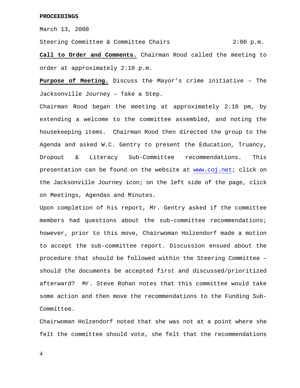March 13, 2008

Steering Committee & Committee Chairs 2:00 p.m.

**Call to Order and Comments.** Chairman Rood called the meeting to order at approximately 2:10 p.m.

**Purpose of Meeting.** Discuss the Mayor's crime initiative – The Jacksonville Journey – Take a Step.

Chairman Rood began the meeting at approximately 2:10 pm, by extending a welcome to the committee assembled, and noting the housekeeping items. Chairman Rood then directed the group to the Agenda and asked W.C. Gentry to present the Education, Truancy, Dropout & Literacy Sub-Committee recommendations. This presentation can be found on the website at www.coj.net; click on the Jacksonville Journey icon; on the left side of the page, click on Meetings, Agendas and Minutes.

Upon completion of his report, Mr. Gentry asked if the committee members had questions about the sub-committee recommendations; however, prior to this move, Chairwoman Holzendorf made a motion to accept the sub-committee report. Discussion ensued about the procedure that should be followed within the Steering Committee – should the documents be accepted first and discussed/prioritized afterward? Mr. Steve Rohan notes that this committee would take some action and then move the recommendations to the Funding Sub-Committee.

Chairwoman Holzendorf noted that she was not at a point where she felt the committee should vote, she felt that the recommendations

4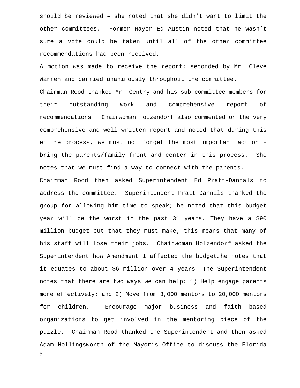should be reviewed – she noted that she didn't want to limit the other committees. Former Mayor Ed Austin noted that he wasn't sure a vote could be taken until all of the other committee recommendations had been received.

A motion was made to receive the report; seconded by Mr. Cleve Warren and carried unanimously throughout the committee.

Chairman Rood thanked Mr. Gentry and his sub-committee members for their outstanding work and comprehensive report of recommendations. Chairwoman Holzendorf also commented on the very comprehensive and well written report and noted that during this entire process, we must not forget the most important action – bring the parents/family front and center in this process. She notes that we must find a way to connect with the parents.

5 Chairman Rood then asked Superintendent Ed Pratt-Dannals to address the committee. Superintendent Pratt-Dannals thanked the group for allowing him time to speak; he noted that this budget year will be the worst in the past 31 years. They have a \$90 million budget cut that they must make; this means that many of his staff will lose their jobs. Chairwoman Holzendorf asked the Superintendent how Amendment 1 affected the budget…he notes that it equates to about \$6 million over 4 years. The Superintendent notes that there are two ways we can help: 1) Help engage parents more effectively; and 2) Move from 3,000 mentors to 20,000 mentors for children. Encourage major business and faith based organizations to get involved in the mentoring piece of the puzzle. Chairman Rood thanked the Superintendent and then asked Adam Hollingsworth of the Mayor's Office to discuss the Florida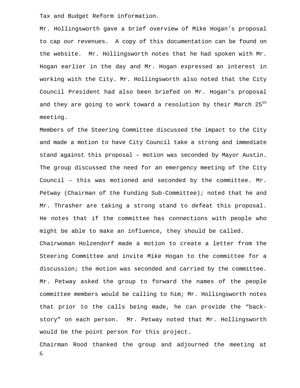Tax and Budget Reform information.

Mr. Hollingsworth gave a brief overview of Mike Hogan's proposal to cap our revenues. A copy of this documentation can be found on the website. Mr. Hollingsworth notes that he had spoken with Mr. Hogan earlier in the day and Mr. Hogan expressed an interest in working with the City. Mr. Hollingsworth also noted that the City Council President had also been briefed on Mr. Hogan's proposal and they are going to work toward a resolution by their March 25<sup>th</sup> meeting.

Members of the Steering Committee discussed the impact to the City and made a motion to have City Council take a strong and immediate stand against this proposal – motion was seconded by Mayor Austin. The group discussed the need for an emergency meeting of the City Council – this was motioned and seconded by the committee. Mr. Petway (Chairman of the Funding Sub-Committee); noted that he and Mr. Thrasher are taking a strong stand to defeat this proposal. He notes that if the committee has connections with people who might be able to make an influence, they should be called. Chairwoman Holzendorf made a motion to create a letter from the

Steering Committee and invite Mike Hogan to the committee for a discussion; the motion was seconded and carried by the committee. Mr. Petway asked the group to forward the names of the people committee members would be calling to him; Mr. Hollingsworth notes that prior to the calls being made, he can provide the "backstory" on each person. Mr. Petway noted that Mr. Hollingsworth would be the point person for this project.

6 Chairman Rood thanked the group and adjourned the meeting at